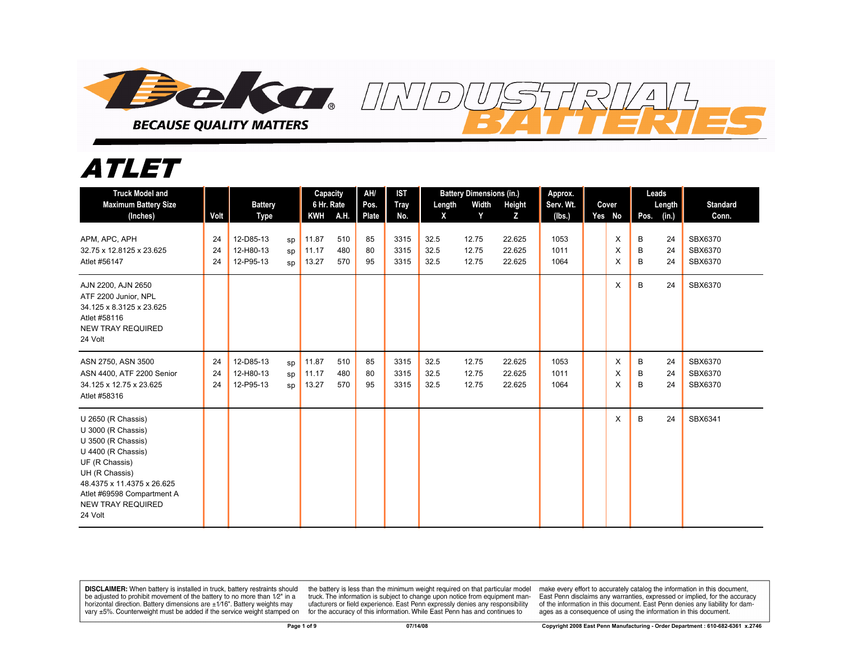

## *ATLET*

| <b>Truck Model and</b><br><b>Maximum Battery Size</b><br>(Inches)                                                                                                                                                           | Volt           | <b>Battery</b><br><b>Type</b>       |                | Capacity<br>6 Hr. Rate<br><b>KWH</b> | A.H.              | AH/<br>Pos.<br>Plate | <b>IST</b><br><b>Tray</b><br>No. | Length<br>X          | <b>Battery Dimensions (in.)</b><br>Width<br>Y | Height<br>z                | Approx.<br>Serv. Wt.<br>(lbs.) | Cover<br>Yes No | Pos.        | Leads<br>Length<br>(in.) | <b>Standard</b><br>Conn.      |
|-----------------------------------------------------------------------------------------------------------------------------------------------------------------------------------------------------------------------------|----------------|-------------------------------------|----------------|--------------------------------------|-------------------|----------------------|----------------------------------|----------------------|-----------------------------------------------|----------------------------|--------------------------------|-----------------|-------------|--------------------------|-------------------------------|
| APM, APC, APH<br>32.75 x 12.8125 x 23.625<br>Atlet #56147                                                                                                                                                                   | 24<br>24<br>24 | 12-D85-13<br>12-H80-13<br>12-P95-13 | sp<br>sp<br>SD | 11.87<br>11.17<br>13.27              | 510<br>480<br>570 | 85<br>80<br>95       | 3315<br>3315<br>3315             | 32.5<br>32.5<br>32.5 | 12.75<br>12.75<br>12.75                       | 22.625<br>22.625<br>22.625 | 1053<br>1011<br>1064           | X<br>X<br>X     | B<br>B<br>B | 24<br>24<br>24           | SBX6370<br>SBX6370<br>SBX6370 |
| AJN 2200, AJN 2650<br>ATF 2200 Junior, NPL<br>34.125 x 8.3125 x 23.625<br>Atlet #58116<br><b>NEW TRAY REQUIRED</b><br>24 Volt                                                                                               |                |                                     |                |                                      |                   |                      |                                  |                      |                                               |                            |                                | X               | B           | 24                       | SBX6370                       |
| ASN 2750, ASN 3500<br>ASN 4400, ATF 2200 Senior<br>34.125 x 12.75 x 23.625<br>Atlet #58316                                                                                                                                  | 24<br>24<br>24 | 12-D85-13<br>12-H80-13<br>12-P95-13 | sp<br>sp<br>sp | 11.87<br>11.17<br>13.27              | 510<br>480<br>570 | 85<br>80<br>95       | 3315<br>3315<br>3315             | 32.5<br>32.5<br>32.5 | 12.75<br>12.75<br>12.75                       | 22.625<br>22.625<br>22.625 | 1053<br>1011<br>1064           | X<br>X<br>X     | В<br>B<br>B | 24<br>24<br>24           | SBX6370<br>SBX6370<br>SBX6370 |
| U 2650 (R Chassis)<br>U 3000 (R Chassis)<br>U 3500 (R Chassis)<br>U 4400 (R Chassis)<br>UF (R Chassis)<br>UH (R Chassis)<br>48.4375 x 11.4375 x 26.625<br>Atlet #69598 Compartment A<br><b>NEW TRAY REQUIRED</b><br>24 Volt |                |                                     |                |                                      |                   |                      |                                  |                      |                                               |                            |                                | X               | B           | 24                       | SBX6341                       |

**DISCLAIMER:** When battery is installed in truck, battery restraints should be adjusted to prohibit movement of the battery to no more than 1/2" in a horizontal direction. Battery dimensions are  $\pm 1/16$ ". Battery weights may vary ±5%. Counterweight must be added if the service weight stamped on

the battery is less than the minimum weight required on that particular model<br>truck. The information is subject to change upon notice from equipment manufacturers or field experience. East Penn expressly denies any responsibility for the accuracy of this information. While East Penn has and continues to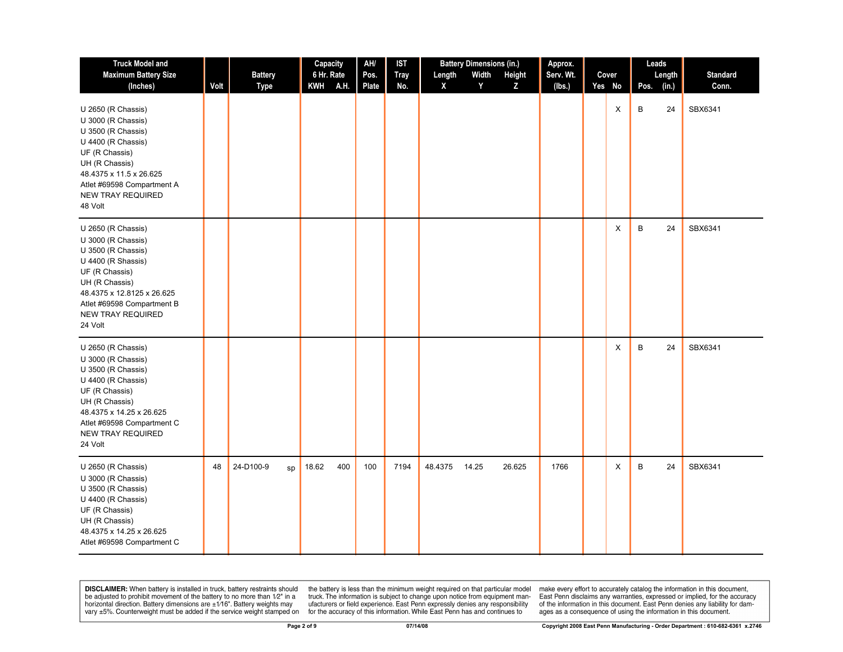| <b>Truck Model and</b>                                                                                                                                                                                                      |      |                               | Capacity                         | AH/           | <b>IST</b>         |             | <b>Battery Dimensions (in.)</b> |             | Approx.             |                 |      | Leads           |                          |
|-----------------------------------------------------------------------------------------------------------------------------------------------------------------------------------------------------------------------------|------|-------------------------------|----------------------------------|---------------|--------------------|-------------|---------------------------------|-------------|---------------------|-----------------|------|-----------------|--------------------------|
| <b>Maximum Battery Size</b><br>(Inches)                                                                                                                                                                                     | Volt | <b>Battery</b><br><b>Type</b> | 6 Hr. Rate<br>A.H.<br><b>KWH</b> | Pos.<br>Plate | <b>Tray</b><br>No. | Length<br>X | Width<br>Y                      | Height<br>Z | Serv. Wt.<br>(lbs.) | Cover<br>Yes No | Pos. | Length<br>(in.) | <b>Standard</b><br>Conn. |
| U 2650 (R Chassis)<br>U 3000 (R Chassis)<br>U 3500 (R Chassis)<br>U 4400 (R Chassis)<br>UF (R Chassis)<br>UH (R Chassis)<br>48.4375 x 11.5 x 26.625<br>Atlet #69598 Compartment A<br><b>NEW TRAY REQUIRED</b><br>48 Volt    |      |                               |                                  |               |                    |             |                                 |             |                     | X               | В    | 24              | SBX6341                  |
| U 2650 (R Chassis)<br>U 3000 (R Chassis)<br>U 3500 (R Chassis)<br>U 4400 (R Shassis)<br>UF (R Chassis)<br>UH (R Chassis)<br>48.4375 x 12.8125 x 26.625<br>Atlet #69598 Compartment B<br><b>NEW TRAY REQUIRED</b><br>24 Volt |      |                               |                                  |               |                    |             |                                 |             |                     | X               | B    | 24              | SBX6341                  |
| U 2650 (R Chassis)<br>U 3000 (R Chassis)<br>U 3500 (R Chassis)<br>U 4400 (R Chassis)<br>UF (R Chassis)<br>UH (R Chassis)<br>48.4375 x 14.25 x 26.625<br>Atlet #69598 Compartment C<br><b>NEW TRAY REQUIRED</b><br>24 Volt   |      |                               |                                  |               |                    |             |                                 |             |                     | X               | B    | 24              | SBX6341                  |
| U 2650 (R Chassis)<br>U 3000 (R Chassis)<br>U 3500 (R Chassis)<br>U 4400 (R Chassis)<br>UF (R Chassis)<br>UH (R Chassis)<br>48.4375 x 14.25 x 26.625<br>Atlet #69598 Compartment C                                          | 48   | 24-D100-9<br>sp               | 18.62<br>400                     | 100           | 7194               | 48.4375     | 14.25                           | 26.625      | 1766                | X               | B    | 24              | SBX6341                  |

**DISCLAIMER:** When battery is installed in truck, battery restraints should the battery is less than the minimum weight required on that particular model be adjusted to prohibit movement of the battery to no more than 12"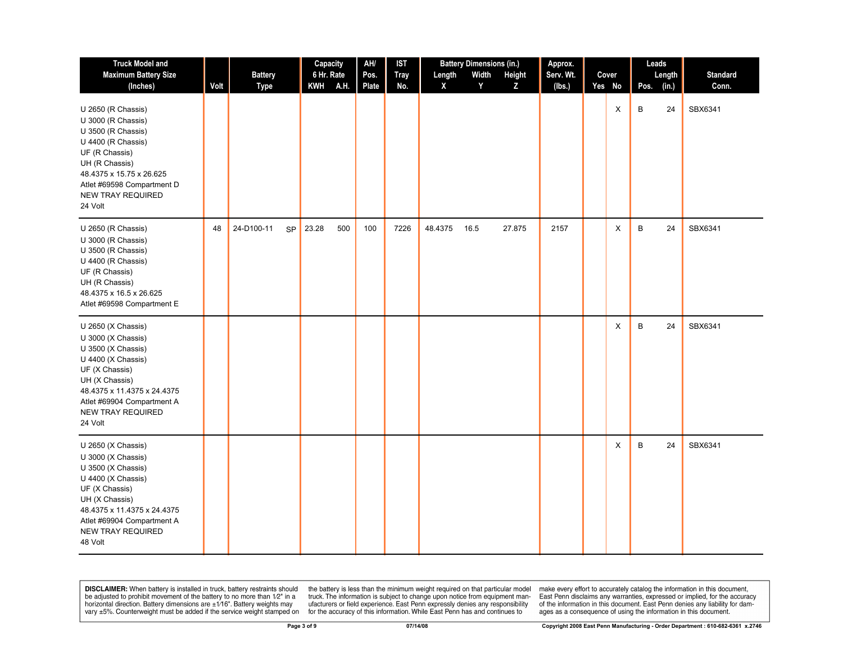| <b>Truck Model and</b>                                                                                                                                                                                                       |      |                  | Capacity     | AH/   | <b>IST</b>  |         | <b>Battery Dimensions (in.)</b> | Approx.   |        | Leads |        |                 |
|------------------------------------------------------------------------------------------------------------------------------------------------------------------------------------------------------------------------------|------|------------------|--------------|-------|-------------|---------|---------------------------------|-----------|--------|-------|--------|-----------------|
| <b>Maximum Battery Size</b>                                                                                                                                                                                                  |      | <b>Battery</b>   | 6 Hr. Rate   | Pos.  | <b>Tray</b> | Length  | Width<br>Height                 | Serv. Wt. | Cover  |       | Length | <b>Standard</b> |
| (Inches)                                                                                                                                                                                                                     | Volt | Type             | A.H.<br>KWH  | Plate | No.         | X       | Y<br>Z                          | (lbs.)    | Yes No | Pos.  | (in.)  | Conn.           |
| U 2650 (R Chassis)<br>U 3000 (R Chassis)<br>U 3500 (R Chassis)<br>U 4400 (R Chassis)<br>UF (R Chassis)<br>UH (R Chassis)<br>48.4375 x 15.75 x 26.625<br>Atlet #69598 Compartment D<br><b>NEW TRAY REQUIRED</b><br>24 Volt    |      |                  |              |       |             |         |                                 |           | X      | B     | 24     | SBX6341         |
| U 2650 (R Chassis)<br>U 3000 (R Chassis)<br>U 3500 (R Chassis)<br>U 4400 (R Chassis)<br>UF (R Chassis)<br>UH (R Chassis)<br>48.4375 x 16.5 x 26.625<br>Atlet #69598 Compartment E                                            | 48   | 24-D100-11<br>SP | 23.28<br>500 | 100   | 7226        | 48.4375 | 16.5<br>27.875                  | 2157      | X      | B     | 24     | SBX6341         |
| U 2650 (X Chassis)<br>U 3000 (X Chassis)<br>U 3500 (X Chassis)<br>U 4400 (X Chassis)<br>UF (X Chassis)<br>UH (X Chassis)<br>48.4375 x 11.4375 x 24.4375<br>Atlet #69904 Compartment A<br><b>NEW TRAY REQUIRED</b><br>24 Volt |      |                  |              |       |             |         |                                 |           | X      | B     | 24     | SBX6341         |
| U 2650 (X Chassis)<br>U 3000 (X Chassis)<br>U 3500 (X Chassis)<br>U 4400 (X Chassis)<br>UF (X Chassis)<br>UH (X Chassis)<br>48.4375 x 11.4375 x 24.4375<br>Atlet #69904 Compartment A<br><b>NEW TRAY REQUIRED</b><br>48 Volt |      |                  |              |       |             |         |                                 |           | X      | B     | 24     | SBX6341         |

the battery is less than the minimum weight required on that particular model<br>truck. The information is subject to change upon notice from equipment man-<br>ufacturers or field experience. East Penn expressly denies any respo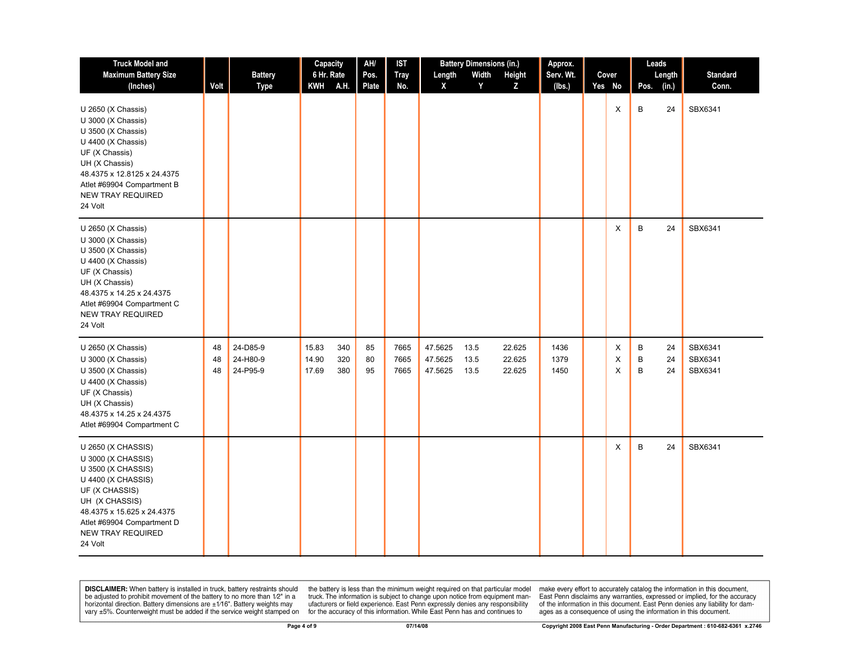| <b>Truck Model and</b>                                                                                                                                                                                                       |                |                                  | Capacity                                     | AH/            | IST                  | <b>Battery Dimensions (in.)</b>                       |                            | Approx.              |                 | Leads       |                 |                               |
|------------------------------------------------------------------------------------------------------------------------------------------------------------------------------------------------------------------------------|----------------|----------------------------------|----------------------------------------------|----------------|----------------------|-------------------------------------------------------|----------------------------|----------------------|-----------------|-------------|-----------------|-------------------------------|
| <b>Maximum Battery Size</b><br>(Inches)                                                                                                                                                                                      | Volt           | <b>Battery</b><br>Type           | 6 Hr. Rate<br>A.H.<br><b>KWH</b>             | Pos.<br>Plate  | <b>Tray</b><br>No.   | Width<br>Length<br>Y<br>X                             | Height<br>Z                | Serv. Wt.<br>(lbs.)  | Cover<br>Yes No | Pos.        | Length<br>(in.) | Standard<br>Conn.             |
| U 2650 (X Chassis)<br>U 3000 (X Chassis)<br>U 3500 (X Chassis)<br>U 4400 (X Chassis)<br>UF (X Chassis)<br>UH (X Chassis)<br>48.4375 x 12.8125 x 24.4375<br>Atlet #69904 Compartment B<br><b>NEW TRAY REQUIRED</b><br>24 Volt |                |                                  |                                              |                |                      |                                                       |                            |                      | X               | B           | 24              | SBX6341                       |
| U 2650 (X Chassis)<br>U 3000 (X Chassis)<br>U 3500 (X Chassis)<br>U 4400 (X Chassis)<br>UF (X Chassis)<br>UH (X Chassis)<br>48.4375 x 14.25 x 24.4375<br>Atlet #69904 Compartment C<br><b>NEW TRAY REQUIRED</b><br>24 Volt   |                |                                  |                                              |                |                      |                                                       |                            |                      | X               | B           | 24              | SBX6341                       |
| U 2650 (X Chassis)<br>U 3000 (X Chassis)<br>U 3500 (X Chassis)<br>U 4400 (X Chassis)<br>UF (X Chassis)<br>UH (X Chassis)<br>48.4375 x 14.25 x 24.4375<br>Atlet #69904 Compartment C                                          | 48<br>48<br>48 | 24-D85-9<br>24-H80-9<br>24-P95-9 | 15.83<br>340<br>14.90<br>320<br>17.69<br>380 | 85<br>80<br>95 | 7665<br>7665<br>7665 | 47.5625<br>13.5<br>47.5625<br>13.5<br>47.5625<br>13.5 | 22.625<br>22.625<br>22.625 | 1436<br>1379<br>1450 | X<br>X<br>X     | B<br>B<br>B | 24<br>24<br>24  | SBX6341<br>SBX6341<br>SBX6341 |
| U 2650 (X CHASSIS)<br>U 3000 (X CHASSIS)<br>U 3500 (X CHASSIS)<br>U 4400 (X CHASSIS)<br>UF (X CHASSIS)<br>UH (X CHASSIS)<br>48.4375 x 15.625 x 24.4375<br>Atlet #69904 Compartment D<br><b>NEW TRAY REQUIRED</b><br>24 Volt  |                |                                  |                                              |                |                      |                                                       |                            |                      | X               | B           | 24              | SBX6341                       |

the battery is less than the minimum weight required on that particular model<br>truck. The information is subject to change upon notice from equipment man-<br>ufacturers or field experience. East Penn expressly denies any respo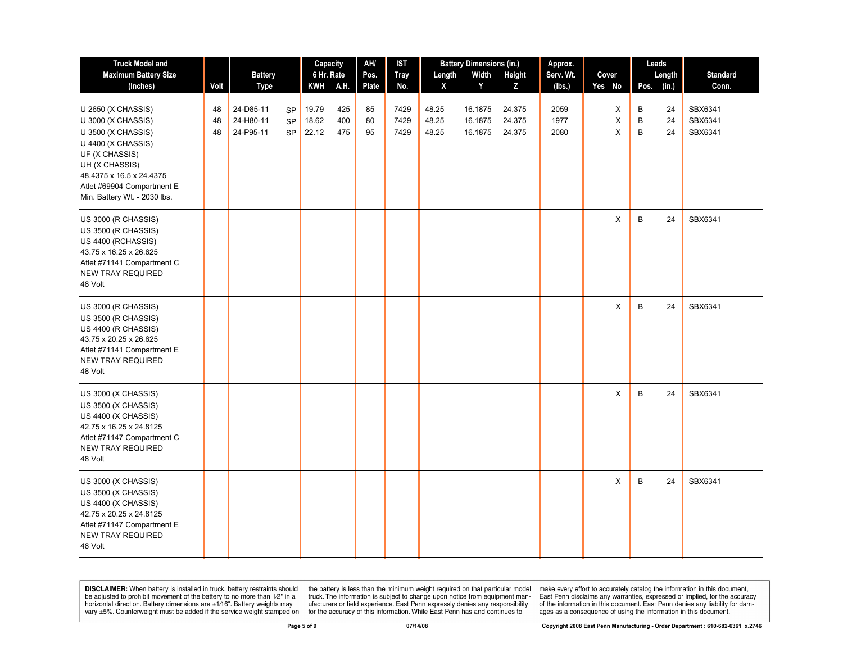| <b>Truck Model and</b>                                                                                                                                                                                             |                |                                     |                                     | Capacity                |                   | AH/            | <b>IST</b>           |                         | <b>Battery Dimensions (in.)</b> |                            | Approx.              |              |             | Leads          |                               |
|--------------------------------------------------------------------------------------------------------------------------------------------------------------------------------------------------------------------|----------------|-------------------------------------|-------------------------------------|-------------------------|-------------------|----------------|----------------------|-------------------------|---------------------------------|----------------------------|----------------------|--------------|-------------|----------------|-------------------------------|
| <b>Maximum Battery Size</b>                                                                                                                                                                                        |                | <b>Battery</b>                      |                                     | 6 Hr. Rate              |                   | Pos.           | <b>Tray</b>          | Length                  | Width                           | Height                     | Serv. Wt.            | Cover        |             | Length         | <b>Standard</b>               |
| (Inches)                                                                                                                                                                                                           | Volt           | <b>Type</b>                         |                                     | <b>KWH</b>              | A.H.              | Plate          | No.                  | X                       | Y                               | Z                          | (lbs.)               | Yes No       | Pos.        | (in.)          | Conn.                         |
| U 2650 (X CHASSIS)<br>U 3000 (X CHASSIS)<br>U 3500 (X CHASSIS)<br>U 4400 (X CHASSIS)<br>UF (X CHASSIS)<br>UH (X CHASSIS)<br>48.4375 x 16.5 x 24.4375<br>Atlet #69904 Compartment E<br>Min. Battery Wt. - 2030 lbs. | 48<br>48<br>48 | 24-D85-11<br>24-H80-11<br>24-P95-11 | <b>SP</b><br><b>SP</b><br><b>SP</b> | 19.79<br>18.62<br>22.12 | 425<br>400<br>475 | 85<br>80<br>95 | 7429<br>7429<br>7429 | 48.25<br>48.25<br>48.25 | 16.1875<br>16.1875<br>16.1875   | 24.375<br>24.375<br>24.375 | 2059<br>1977<br>2080 | X<br>X<br>X  | В<br>B<br>B | 24<br>24<br>24 | SBX6341<br>SBX6341<br>SBX6341 |
| US 3000 (R CHASSIS)<br>US 3500 (R CHASSIS)<br>US 4400 (RCHASSIS)<br>43.75 x 16.25 x 26.625<br>Atlet #71141 Compartment C<br><b>NEW TRAY REQUIRED</b><br>48 Volt                                                    |                |                                     |                                     |                         |                   |                |                      |                         |                                 |                            |                      | Χ            | B           | 24             | SBX6341                       |
| US 3000 (R CHASSIS)<br>US 3500 (R CHASSIS)<br>US 4400 (R CHASSIS)<br>43.75 x 20.25 x 26.625<br>Atlet #71141 Compartment E<br><b>NEW TRAY REQUIRED</b><br>48 Volt                                                   |                |                                     |                                     |                         |                   |                |                      |                         |                                 |                            |                      | Χ            | B           | 24             | SBX6341                       |
| US 3000 (X CHASSIS)<br>US 3500 (X CHASSIS)<br>US 4400 (X CHASSIS)<br>42.75 x 16.25 x 24.8125<br>Atlet #71147 Compartment C<br><b>NEW TRAY REQUIRED</b><br>48 Volt                                                  |                |                                     |                                     |                         |                   |                |                      |                         |                                 |                            |                      | X            | B           | 24             | SBX6341                       |
| US 3000 (X CHASSIS)<br>US 3500 (X CHASSIS)<br>US 4400 (X CHASSIS)<br>42.75 x 20.25 x 24.8125<br>Atlet #71147 Compartment E<br><b>NEW TRAY REQUIRED</b><br>48 Volt                                                  |                |                                     |                                     |                         |                   |                |                      |                         |                                 |                            |                      | $\mathsf{x}$ | B           | 24             | SBX6341                       |

the battery is less than the minimum weight required on that particular model<br>truck. The information is subject to change upon notice from equipment man-<br>ufacturers or field experience. East Penn expressly denies any respo for the accuracy of this information. While East Penn has and continues to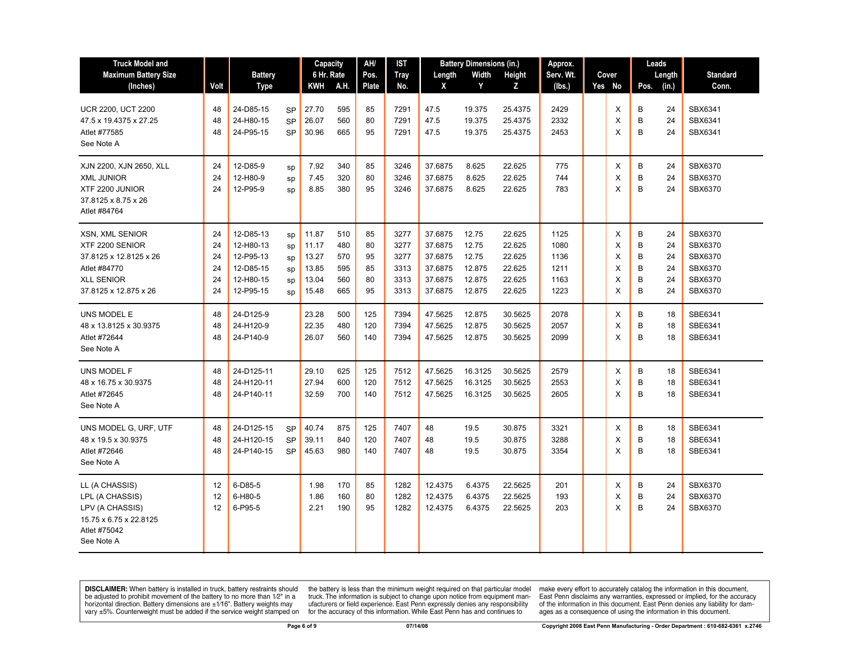| <b>Truck Model and</b>                                                                                                            |                                  |                                                                            |                                     | Capacity                                           |                                        | AH/                              | <b>IST</b>                                   |                                                                | <b>Battery Dimensions (in.)</b>                       |                                                          | Approx.                                      | Leads |                            |                            |                                  |                                                                |
|-----------------------------------------------------------------------------------------------------------------------------------|----------------------------------|----------------------------------------------------------------------------|-------------------------------------|----------------------------------------------------|----------------------------------------|----------------------------------|----------------------------------------------|----------------------------------------------------------------|-------------------------------------------------------|----------------------------------------------------------|----------------------------------------------|-------|----------------------------|----------------------------|----------------------------------|----------------------------------------------------------------|
| <b>Maximum Battery Size</b>                                                                                                       |                                  | <b>Battery</b>                                                             |                                     | 6 Hr. Rate                                         |                                        | Pos.                             | <b>Tray</b>                                  | Length                                                         | Width                                                 | Height                                                   | Serv. Wt.                                    |       | Cover                      |                            | Length                           | <b>Standard</b>                                                |
| (Inches)                                                                                                                          | Volt                             | <b>Type</b>                                                                |                                     | <b>KWH</b>                                         | A.H.                                   | Plate                            | No.                                          | X                                                              | Y                                                     | Z                                                        | (Ibs.)                                       |       | Yes No                     | Pos.                       | (in.)                            | Conn.                                                          |
| <b>UCR 2200, UCT 2200</b><br>47.5 x 19.4375 x 27.25<br>Atlet #77585<br>See Note A                                                 | 48<br>48<br>48                   | 24-D85-15<br>24-H80-15<br>24-P95-15                                        | <b>SP</b><br><b>SP</b><br><b>SP</b> | 27.70<br>26.07<br>30.96                            | 595<br>560<br>665                      | 85<br>80<br>95                   | 7291<br>7291<br>7291                         | 47.5<br>47.5<br>47.5                                           | 19.375<br>19.375<br>19.375                            | 25.4375<br>25.4375<br>25.4375                            | 2429<br>2332<br>2453                         |       | X<br>X<br>X                | В<br>B<br>B                | 24<br>24<br>24                   | SBX6341<br>SBX6341<br>SBX6341                                  |
| XJN 2200, XJN 2650, XLL<br><b>XML JUNIOR</b><br>XTF 2200 JUNIOR<br>37.8125 x 8.75 x 26<br>Atlet #84764                            | 24<br>24<br>24                   | 12-D85-9<br>12-H80-9<br>12-P95-9                                           | sp<br>sp<br>sp                      | 7.92<br>7.45<br>8.85                               | 340<br>320<br>380                      | 85<br>80<br>95                   | 3246<br>3246<br>3246                         | 37.6875<br>37.6875<br>37.6875                                  | 8.625<br>8.625<br>8.625                               | 22.625<br>22.625<br>22.625                               | 775<br>744<br>783                            |       | X<br>X<br>X                | B<br>B<br>B                | 24<br>24<br>24                   | SBX6370<br>SBX6370<br>SBX6370                                  |
| <b>XSN. XML SENIOR</b><br>XTF 2200 SENIOR<br>37.8125 x 12.8125 x 26<br>Atlet #84770<br><b>XLL SENIOR</b><br>37.8125 x 12.875 x 26 | 24<br>24<br>24<br>24<br>24<br>24 | 12-D85-13<br>12-H80-13<br>12-P95-13<br>12-D85-15<br>12-H80-15<br>12-P95-15 | sp<br>sp<br>sp<br>sp<br>sp<br>sp    | 11.87<br>11.17<br>13.27<br>13.85<br>13.04<br>15.48 | 510<br>480<br>570<br>595<br>560<br>665 | 85<br>80<br>95<br>85<br>80<br>95 | 3277<br>3277<br>3277<br>3313<br>3313<br>3313 | 37.6875<br>37.6875<br>37.6875<br>37.6875<br>37.6875<br>37.6875 | 12.75<br>12.75<br>12.75<br>12.875<br>12.875<br>12.875 | 22.625<br>22.625<br>22.625<br>22.625<br>22.625<br>22.625 | 1125<br>1080<br>1136<br>1211<br>1163<br>1223 |       | X<br>X<br>X<br>X<br>X<br>X | B<br>B<br>B<br>B<br>B<br>B | 24<br>24<br>24<br>24<br>24<br>24 | SBX6370<br>SBX6370<br>SBX6370<br>SBX6370<br>SBX6370<br>SBX6370 |
| UNS MODEL E<br>48 x 13.8125 x 30.9375<br>Atlet #72644<br>See Note A                                                               | 48<br>48<br>48                   | 24-D125-9<br>24-H120-9<br>24-P140-9                                        |                                     | 23.28<br>22.35<br>26.07                            | 500<br>480<br>560                      | 125<br>120<br>140                | 7394<br>7394<br>7394                         | 47.5625<br>47.5625<br>47.5625                                  | 12.875<br>12.875<br>12.875                            | 30.5625<br>30.5625<br>30.5625                            | 2078<br>2057<br>2099                         |       | X<br>X<br>X                | В<br>B<br>B                | 18<br>18<br>18                   | SBE6341<br>SBE6341<br>SBE6341                                  |
| UNS MODEL F<br>48 x 16.75 x 30.9375<br>Atlet #72645<br>See Note A                                                                 | 48<br>48<br>48                   | 24-D125-11<br>24-H120-11<br>24-P140-11                                     |                                     | 29.10<br>27.94<br>32.59                            | 625<br>600<br>700                      | 125<br>120<br>140                | 7512<br>7512<br>7512                         | 47.5625<br>47.5625<br>47.5625                                  | 16.3125<br>16.3125<br>16.3125                         | 30.5625<br>30.5625<br>30.5625                            | 2579<br>2553<br>2605                         |       | Х<br>X<br>X                | B<br>B<br>B                | 18<br>18<br>18                   | SBE6341<br>SBE6341<br>SBE6341                                  |
| UNS MODEL G, URF, UTF<br>48 x 19.5 x 30.9375<br>Atlet #72646<br>See Note A                                                        | 48<br>48<br>48                   | 24-D125-15<br>24-H120-15<br>24-P140-15                                     | <b>SP</b><br><b>SP</b><br><b>SP</b> | 40.74<br>39.11<br>45.63                            | 875<br>840<br>980                      | 125<br>120<br>140                | 7407<br>7407<br>7407                         | 48<br>48<br>48                                                 | 19.5<br>19.5<br>19.5                                  | 30.875<br>30.875<br>30.875                               | 3321<br>3288<br>3354                         |       | X<br>X<br>X                | В<br>B<br>B                | 18<br>18<br>18                   | SBE6341<br>SBE6341<br>SBE6341                                  |
| LL (A CHASSIS)<br>LPL (A CHASSIS)<br>LPV (A CHASSIS)<br>15.75 x 6.75 x 22.8125<br>Atlet #75042<br>See Note A                      | 12<br>12<br>12                   | 6-D85-5<br>6-H80-5<br>6-P95-5                                              |                                     | 1.98<br>1.86<br>2.21                               | 170<br>160<br>190                      | 85<br>80<br>95                   | 1282<br>1282<br>1282                         | 12.4375<br>12.4375<br>12.4375                                  | 6.4375<br>6.4375<br>6.4375                            | 22.5625<br>22.5625<br>22.5625                            | 201<br>193<br>203                            |       | X<br>X<br>X                | B<br>B<br>B                | 24<br>24<br>24                   | SBX6370<br>SBX6370<br>SBX6370                                  |

the battery is less than the minimum weight required on that particular model<br>truck. The information is subject to change upon notice from equipment man-<br>ufacturers or field experience. East Penn expressly denies any respo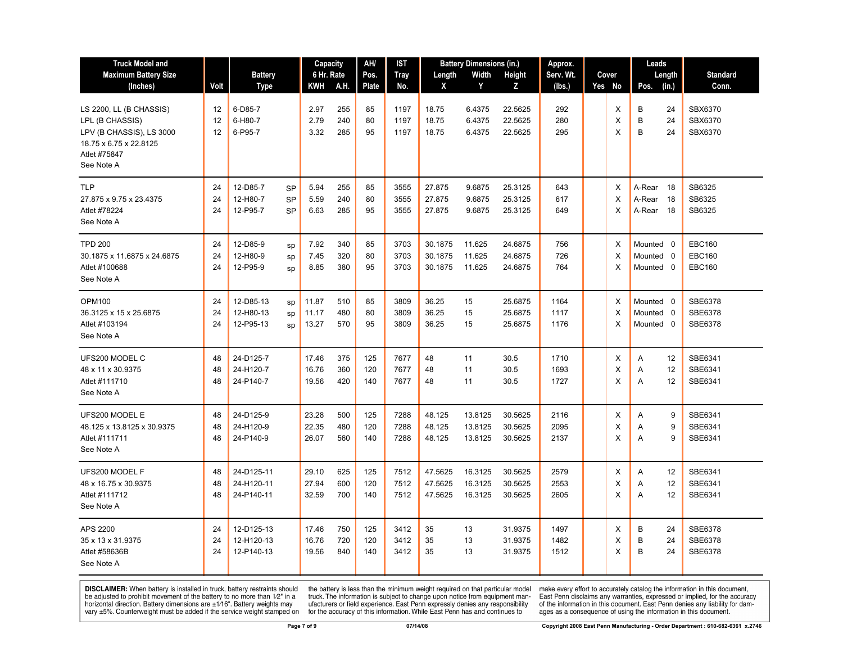| <b>Truck Model and</b><br><b>Maximum Battery Size</b><br>(Inches)                                                              | Volt           | <b>Battery</b><br><b>Type</b>          |                                     | Capacity<br>6 Hr. Rate<br>KWH | A.H.              | AH/<br>Pos.<br><b>Plate</b> | IST<br><b>Tray</b><br>No. | Length<br>X                   | <b>Battery Dimensions (in.)</b><br>Width<br>Y | Height<br>Z                   | Approx.<br>Serv. Wt.<br>(lbs.) | Cover<br>Yes No           | Leads<br>Length<br>Pos.<br>(in.)            | <b>Standard</b><br>Conn.                        |
|--------------------------------------------------------------------------------------------------------------------------------|----------------|----------------------------------------|-------------------------------------|-------------------------------|-------------------|-----------------------------|---------------------------|-------------------------------|-----------------------------------------------|-------------------------------|--------------------------------|---------------------------|---------------------------------------------|-------------------------------------------------|
| LS 2200, LL (B CHASSIS)<br>LPL (B CHASSIS)<br>LPV (B CHASSIS), LS 3000<br>18.75 x 6.75 x 22.8125<br>Atlet #75847<br>See Note A | 12<br>12<br>12 | 6-D85-7<br>6-H80-7<br>6-P95-7          |                                     | 2.97<br>2.79<br>3.32          | 255<br>240<br>285 | 85<br>80<br>95              | 1197<br>1197<br>1197      | 18.75<br>18.75<br>18.75       | 6.4375<br>6.4375<br>6.4375                    | 22.5625<br>22.5625<br>22.5625 | 292<br>280<br>295              | X<br>$\times$<br>X        | B<br>24<br>B<br>24<br>B<br>24               | SBX6370<br>SBX6370<br>SBX6370                   |
| <b>TLP</b><br>27.875 x 9.75 x 23.4375<br>Atlet #78224<br>See Note A                                                            | 24<br>24<br>24 | 12-D85-7<br>12-H80-7<br>12-P95-7       | <b>SP</b><br><b>SP</b><br><b>SP</b> | 5.94<br>5.59<br>6.63          | 255<br>240<br>285 | 85<br>80<br>95              | 3555<br>3555<br>3555      | 27.875<br>27.875<br>27.875    | 9.6875<br>9.6875<br>9.6875                    | 25.3125<br>25.3125<br>25.3125 | 643<br>617<br>649              | $\times$<br>X<br>$\times$ | A-Rear<br>- 18<br>18<br>A-Rear<br>A-Rear 18 | SB6325<br>SB6325<br>SB6325                      |
| <b>TPD 200</b><br>30.1875 x 11.6875 x 24.6875<br>Atlet #100688<br>See Note A                                                   | 24<br>24<br>24 | 12-D85-9<br>12-H80-9<br>12-P95-9       | sp<br>sp<br>sp                      | 7.92<br>7.45<br>8.85          | 340<br>320<br>380 | 85<br>80<br>95              | 3703<br>3703<br>3703      | 30.1875<br>30.1875<br>30.1875 | 11.625<br>11.625<br>11.625                    | 24.6875<br>24.6875<br>24.6875 | 756<br>726<br>764              | X<br>X<br>$\times$        | Mounted 0<br>Mounted 0<br>Mounted 0         | <b>EBC160</b><br><b>EBC160</b><br><b>EBC160</b> |
| <b>OPM100</b><br>36.3125 x 15 x 25.6875<br>Atlet #103194<br>See Note A                                                         | 24<br>24<br>24 | 12-D85-13<br>12-H80-13<br>12-P95-13    | sp<br>sp<br>SD                      | 11.87<br>11.17<br>13.27       | 510<br>480<br>570 | 85<br>80<br>95              | 3809<br>3809<br>3809      | 36.25<br>36.25<br>36.25       | 15<br>15<br>15                                | 25.6875<br>25.6875<br>25.6875 | 1164<br>1117<br>1176           | X<br>$\times$<br>$\times$ | Mounted 0<br>Mounted 0<br>Mounted 0         | SBE6378<br><b>SBE6378</b><br>SBE6378            |
| UFS200 MODEL C<br>48 x 11 x 30.9375<br>Atlet #111710<br>See Note A                                                             | 48<br>48<br>48 | 24-D125-7<br>24-H120-7<br>24-P140-7    |                                     | 17.46<br>16.76<br>19.56       | 375<br>360<br>420 | 125<br>120<br>140           | 7677<br>7677<br>7677      | 48<br>48<br>48                | 11<br>11<br>11                                | 30.5<br>30.5<br>30.5          | 1710<br>1693<br>1727           | Х<br>X<br>$\times$        | 12<br>A<br>12<br>Α<br>12<br>A               | SBE6341<br>SBE6341<br>SBE6341                   |
| UFS200 MODEL E<br>48.125 x 13.8125 x 30.9375<br>Atlet #111711<br>See Note A                                                    | 48<br>48<br>48 | 24-D125-9<br>24-H120-9<br>24-P140-9    |                                     | 23.28<br>22.35<br>26.07       | 500<br>480<br>560 | 125<br>120<br>140           | 7288<br>7288<br>7288      | 48.125<br>48.125<br>48.125    | 13.8125<br>13.8125<br>13.8125                 | 30.5625<br>30.5625<br>30.5625 | 2116<br>2095<br>2137           | Х<br>X<br>$\times$        | 9<br>Α<br>9<br>A<br>A<br>9                  | SBE6341<br>SBE6341<br>SBE6341                   |
| UFS200 MODEL F<br>48 x 16.75 x 30.9375<br>Atlet #111712<br>See Note A                                                          | 48<br>48<br>48 | 24-D125-11<br>24-H120-11<br>24-P140-11 |                                     | 29.10<br>27.94<br>32.59       | 625<br>600<br>700 | 125<br>120<br>140           | 7512<br>7512<br>7512      | 47.5625<br>47.5625<br>47.5625 | 16.3125<br>16.3125<br>16.3125                 | 30.5625<br>30.5625<br>30.5625 | 2579<br>2553<br>2605           | Χ<br>X<br>$\times$        | 12<br>A<br>12<br>Α<br>A<br>12               | SBE6341<br>SBE6341<br>SBE6341                   |
| APS 2200<br>35 x 13 x 31.9375<br>Atlet #58636B<br>See Note A                                                                   | 24<br>24<br>24 | 12-D125-13<br>12-H120-13<br>12-P140-13 |                                     | 17.46<br>16.76<br>19.56       | 750<br>720<br>840 | 125<br>120<br>140           | 3412<br>3412<br>3412      | 35<br>35<br>35                | 13<br>13<br>13                                | 31.9375<br>31.9375<br>31.9375 | 1497<br>1482<br>1512           | X<br>X<br>X               | B<br>24<br>B<br>24<br>B<br>24               | SBE6378<br>SBE6378<br>SBE6378                   |

the battery is less than the minimum weight required on that particular model<br>truck. The information is subject to change upon notice from equipment man-<br>ufacturers or field experience. East Penn expressly denies any respo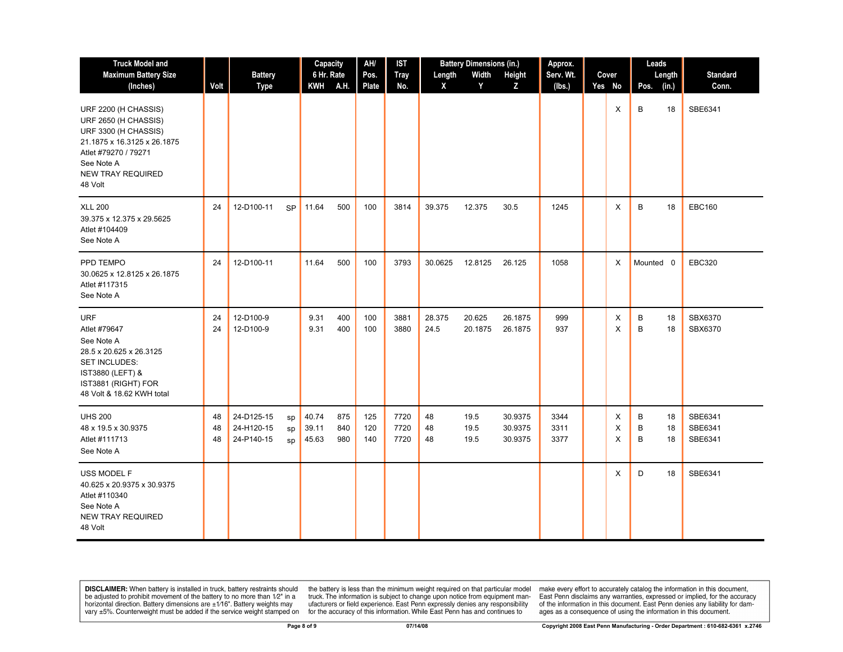| <b>Truck Model and</b>                                                                                                                                                           |                |                                        |                | Capacity                |                   | AH/<br><b>IST</b> |                      | <b>Battery Dimensions (in.)</b> |                      |                               | Approx.              |             |             | Leads          |                               |
|----------------------------------------------------------------------------------------------------------------------------------------------------------------------------------|----------------|----------------------------------------|----------------|-------------------------|-------------------|-------------------|----------------------|---------------------------------|----------------------|-------------------------------|----------------------|-------------|-------------|----------------|-------------------------------|
| <b>Maximum Battery Size</b>                                                                                                                                                      |                | <b>Battery</b>                         |                | 6 Hr. Rate              |                   | Pos.              | <b>Tray</b>          | Length                          | Width                | Height                        | Serv. Wt.            | Cover       |             | Length         | <b>Standard</b>               |
| (Inches)                                                                                                                                                                         | Volt           | Type                                   |                | <b>KWH</b>              | A.H.              | Plate             | No.                  | X                               | Y                    | Z                             | (lbs.)               | Yes No      | Pos.        | (in.)          | Conn.                         |
| URF 2200 (H CHASSIS)<br>URF 2650 (H CHASSIS)<br>URF 3300 (H CHASSIS)<br>21.1875 x 16.3125 x 26.1875<br>Atlet #79270 / 79271<br>See Note A<br><b>NEW TRAY REQUIRED</b><br>48 Volt |                |                                        |                |                         |                   |                   |                      |                                 |                      |                               |                      | X           | B           | 18             | SBE6341                       |
| <b>XLL 200</b><br>39.375 x 12.375 x 29.5625<br>Atlet #104409<br>See Note A                                                                                                       | 24             | 12-D100-11                             | <b>SP</b>      | 11.64                   | 500               | 100               | 3814                 | 39.375                          | 12.375               | 30.5                          | 1245                 | X           | B           | 18             | <b>EBC160</b>                 |
| PPD TEMPO<br>30.0625 x 12.8125 x 26.1875<br>Atlet #117315<br>See Note A                                                                                                          | 24             | 12-D100-11                             |                | 11.64                   | 500               | 100               | 3793                 | 30.0625                         | 12.8125              | 26.125                        | 1058                 | X           | Mounted 0   |                | <b>EBC320</b>                 |
| <b>URF</b><br>Atlet #79647<br>See Note A<br>28.5 x 20.625 x 26.3125<br><b>SET INCLUDES:</b><br>IST3880 (LEFT) &<br>IST3881 (RIGHT) FOR<br>48 Volt & 18.62 KWH total              | 24<br>24       | 12-D100-9<br>12-D100-9                 |                | 9.31<br>9.31            | 400<br>400        | 100<br>100        | 3881<br>3880         | 28.375<br>24.5                  | 20.625<br>20.1875    | 26.1875<br>26.1875            | 999<br>937           | X<br>X      | B<br>B      | 18<br>18       | SBX6370<br>SBX6370            |
| <b>UHS 200</b><br>48 x 19.5 x 30.9375<br>Atlet #111713<br>See Note A                                                                                                             | 48<br>48<br>48 | 24-D125-15<br>24-H120-15<br>24-P140-15 | sp<br>sp<br>sp | 40.74<br>39.11<br>45.63 | 875<br>840<br>980 | 125<br>120<br>140 | 7720<br>7720<br>7720 | 48<br>48<br>48                  | 19.5<br>19.5<br>19.5 | 30.9375<br>30.9375<br>30.9375 | 3344<br>3311<br>3377 | X<br>X<br>X | В<br>B<br>B | 18<br>18<br>18 | SBE6341<br>SBE6341<br>SBE6341 |
| USS MODEL F<br>40.625 x 20.9375 x 30.9375<br>Atlet #110340<br>See Note A<br><b>NEW TRAY REQUIRED</b><br>48 Volt                                                                  |                |                                        |                |                         |                   |                   |                      |                                 |                      |                               |                      | X           | D           | 18             | SBE6341                       |

the battery is less than the minimum weight required on that particular model<br>truck. The information is subject to change upon notice from equipment man-<br>ufacturers or field experience. East Penn expressly denies any respo